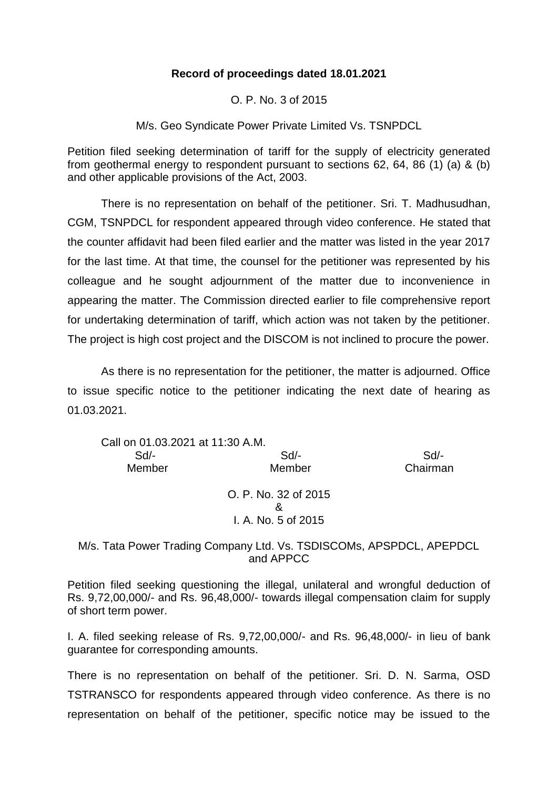## **Record of proceedings dated 18.01.2021**

O. P. No. 3 of 2015

M/s. Geo Syndicate Power Private Limited Vs. TSNPDCL

Petition filed seeking determination of tariff for the supply of electricity generated from geothermal energy to respondent pursuant to sections 62, 64, 86 (1) (a) & (b) and other applicable provisions of the Act, 2003.

There is no representation on behalf of the petitioner. Sri. T. Madhusudhan, CGM, TSNPDCL for respondent appeared through video conference. He stated that the counter affidavit had been filed earlier and the matter was listed in the year 2017 for the last time. At that time, the counsel for the petitioner was represented by his colleague and he sought adjournment of the matter due to inconvenience in appearing the matter. The Commission directed earlier to file comprehensive report for undertaking determination of tariff, which action was not taken by the petitioner. The project is high cost project and the DISCOM is not inclined to procure the power.

As there is no representation for the petitioner, the matter is adjourned. Office to issue specific notice to the petitioner indicating the next date of hearing as 01.03.2021.

| Call on 01.03.2021 at 11:30 A.M. |                                                  |          |
|----------------------------------|--------------------------------------------------|----------|
| $Sd$ -                           | $Sd$ -                                           | Sd       |
| Member                           | Member                                           | Chairman |
|                                  | O. P. No. 32 of 2015<br>&<br>I. A. No. 5 of 2015 |          |

M/s. Tata Power Trading Company Ltd. Vs. TSDISCOMs, APSPDCL, APEPDCL and APPCC

Petition filed seeking questioning the illegal, unilateral and wrongful deduction of Rs. 9,72,00,000/- and Rs. 96,48,000/- towards illegal compensation claim for supply of short term power.

I. A. filed seeking release of Rs. 9,72,00,000/- and Rs. 96,48,000/- in lieu of bank guarantee for corresponding amounts.

There is no representation on behalf of the petitioner. Sri. D. N. Sarma, OSD TSTRANSCO for respondents appeared through video conference. As there is no representation on behalf of the petitioner, specific notice may be issued to the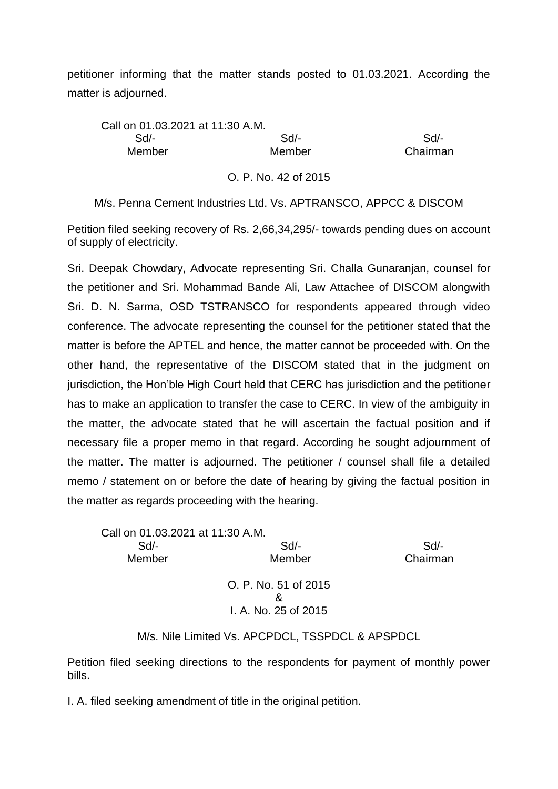petitioner informing that the matter stands posted to 01.03.2021. According the matter is adjourned.

Call on 01.03.2021 at 11:30 A.M. Sd/- Sd/- Sd/- Member Member Chairman

O. P. No. 42 of 2015

M/s. Penna Cement Industries Ltd. Vs. APTRANSCO, APPCC & DISCOM

Petition filed seeking recovery of Rs. 2,66,34,295/- towards pending dues on account of supply of electricity.

Sri. Deepak Chowdary, Advocate representing Sri. Challa Gunaranjan, counsel for the petitioner and Sri. Mohammad Bande Ali, Law Attachee of DISCOM alongwith Sri. D. N. Sarma, OSD TSTRANSCO for respondents appeared through video conference. The advocate representing the counsel for the petitioner stated that the matter is before the APTEL and hence, the matter cannot be proceeded with. On the other hand, the representative of the DISCOM stated that in the judgment on jurisdiction, the Hon'ble High Court held that CERC has jurisdiction and the petitioner has to make an application to transfer the case to CERC. In view of the ambiguity in the matter, the advocate stated that he will ascertain the factual position and if necessary file a proper memo in that regard. According he sought adjournment of the matter. The matter is adjourned. The petitioner / counsel shall file a detailed memo / statement on or before the date of hearing by giving the factual position in the matter as regards proceeding with the hearing.

Call on 01.03.2021 at 11:30 A.M. Sd/- Sd/- Sd/- Member Member Chairman O. P. No. 51 of 2015 & I. A. No. 25 of 2015

M/s. Nile Limited Vs. APCPDCL, TSSPDCL & APSPDCL

Petition filed seeking directions to the respondents for payment of monthly power bills.

I. A. filed seeking amendment of title in the original petition.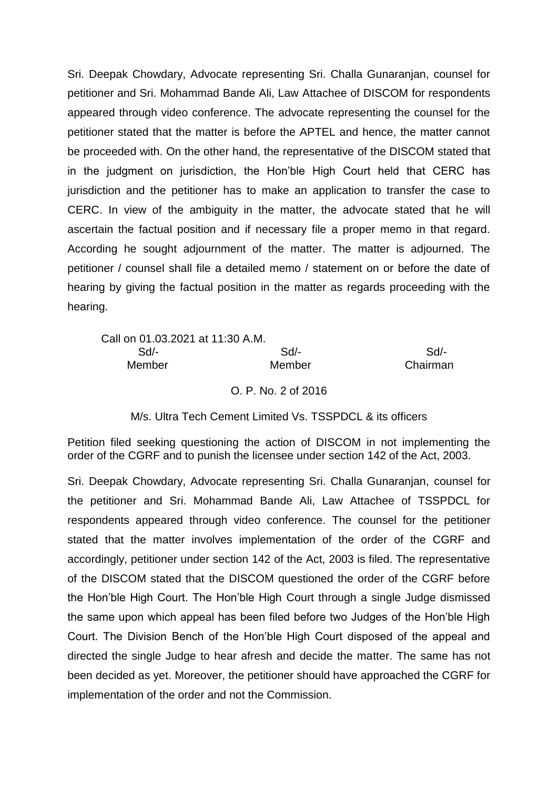Sri. Deepak Chowdary, Advocate representing Sri. Challa Gunaranjan, counsel for petitioner and Sri. Mohammad Bande Ali, Law Attachee of DISCOM for respondents appeared through video conference. The advocate representing the counsel for the petitioner stated that the matter is before the APTEL and hence, the matter cannot be proceeded with. On the other hand, the representative of the DISCOM stated that in the judgment on jurisdiction, the Hon'ble High Court held that CERC has jurisdiction and the petitioner has to make an application to transfer the case to CERC. In view of the ambiguity in the matter, the advocate stated that he will ascertain the factual position and if necessary file a proper memo in that regard. According he sought adjournment of the matter. The matter is adjourned. The petitioner / counsel shall file a detailed memo / statement on or before the date of hearing by giving the factual position in the matter as regards proceeding with the hearing.

| Call on 01.03.2021 at 11:30 A.M. |        |          |
|----------------------------------|--------|----------|
| Sd/-                             | $Sd/-$ | Sd       |
| Member                           | Member | Chairman |

O. P. No. 2 of 2016

M/s. Ultra Tech Cement Limited Vs. TSSPDCL & its officers

Petition filed seeking questioning the action of DISCOM in not implementing the order of the CGRF and to punish the licensee under section 142 of the Act, 2003.

Sri. Deepak Chowdary, Advocate representing Sri. Challa Gunaranjan, counsel for the petitioner and Sri. Mohammad Bande Ali, Law Attachee of TSSPDCL for respondents appeared through video conference. The counsel for the petitioner stated that the matter involves implementation of the order of the CGRF and accordingly, petitioner under section 142 of the Act, 2003 is filed. The representative of the DISCOM stated that the DISCOM questioned the order of the CGRF before the Hon'ble High Court. The Hon'ble High Court through a single Judge dismissed the same upon which appeal has been filed before two Judges of the Hon'ble High Court. The Division Bench of the Hon'ble High Court disposed of the appeal and directed the single Judge to hear afresh and decide the matter. The same has not been decided as yet. Moreover, the petitioner should have approached the CGRF for implementation of the order and not the Commission.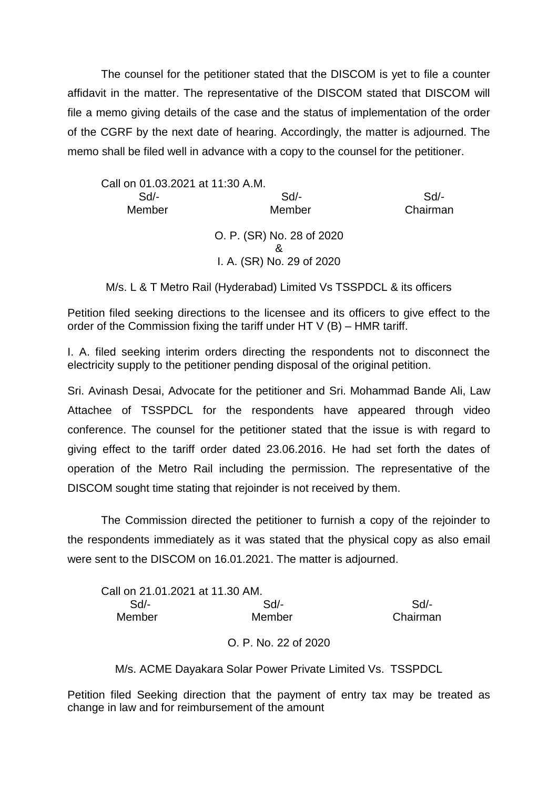The counsel for the petitioner stated that the DISCOM is yet to file a counter affidavit in the matter. The representative of the DISCOM stated that DISCOM will file a memo giving details of the case and the status of implementation of the order of the CGRF by the next date of hearing. Accordingly, the matter is adjourned. The memo shall be filed well in advance with a copy to the counsel for the petitioner.

| Call on 01.03.2021 at 11:30 A.M. |                                |          |
|----------------------------------|--------------------------------|----------|
| Sd                               | Sd                             | Sd       |
| Member                           | Member                         | Chairman |
|                                  | O. P. (SR) No. 28 of 2020<br>8 |          |
|                                  | I. A. (SR) No. 29 of 2020      |          |
|                                  |                                |          |

M/s. L & T Metro Rail (Hyderabad) Limited Vs TSSPDCL & its officers

Petition filed seeking directions to the licensee and its officers to give effect to the order of the Commission fixing the tariff under HT  $V$  (B) – HMR tariff.

I. A. filed seeking interim orders directing the respondents not to disconnect the electricity supply to the petitioner pending disposal of the original petition.

Sri. Avinash Desai, Advocate for the petitioner and Sri. Mohammad Bande Ali, Law Attachee of TSSPDCL for the respondents have appeared through video conference. The counsel for the petitioner stated that the issue is with regard to giving effect to the tariff order dated 23.06.2016. He had set forth the dates of operation of the Metro Rail including the permission. The representative of the DISCOM sought time stating that rejoinder is not received by them.

The Commission directed the petitioner to furnish a copy of the rejoinder to the respondents immediately as it was stated that the physical copy as also email were sent to the DISCOM on 16.01.2021. The matter is adjourned.

| Call on 21.01.2021 at 11.30 AM. |        |          |
|---------------------------------|--------|----------|
| Sd/-                            | Sd/-   | Sd       |
| Member                          | Member | Chairman |
|                                 |        |          |

O. P. No. 22 of 2020

M/s. ACME Dayakara Solar Power Private Limited Vs. TSSPDCL

Petition filed Seeking direction that the payment of entry tax may be treated as change in law and for reimbursement of the amount